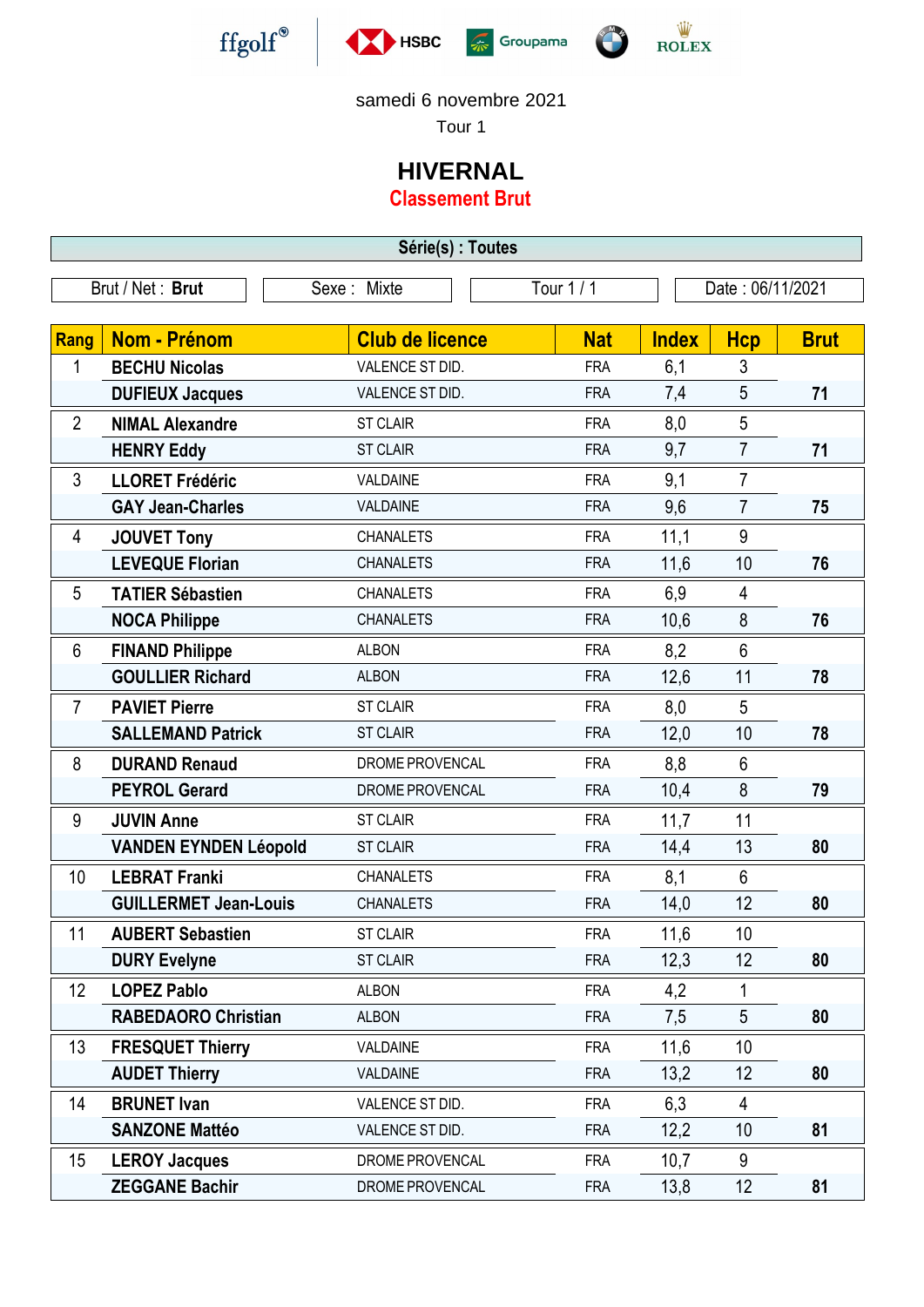







## samedi 6 novembre 2021

Tour 1

## **HIVERNAL**

**Classement Brut**

**Série(s) : Toutes** Brut / Net : **Brut** Sexe : Mixte Tour 1 / 1 Date : 06/11/2021 **Rang Nom - Prénom Club de licence Nat Nat Index Hcp Brut** 1 **BECHU Nicolas VALENCE ST DID.** FRA 6,1 3 **DUFIEUX Jacques** VALENCE ST DID. FRA 7,4 5 71 - 2 **NIMAL Alexandre** ST CLAIR FRA 8,0 5 **HENRY Eddy** ST CLAIR FRA 9,7 7 71 3 **LLORET Frédéric** VALDAINE FRA 9,1 7 GAY Jean-Charles **VALDAINE FRA** 9.6 7 75 - 4 **JOUVET Tony** CHANALETS FRA 11,1 9 **LEVEQUE Florian** CHANALETS FRA 11,6 10 **76** 5 **TATIER Sébastien** CHANALETS FRA 6,9 4 **NOCA Philippe** CHANALETS FRA 10,6 8 **76** 6 **FINAND Philippe** ALBON FRA 8,2 6 **GOULLIER Richard** ALBON FRA 12,6 11 **78 7 PAVIET Pierre** ST CLAIR FRA 8.0 5 **SALLEMAND Patrick** ST CLAIR FRA 12.0 10 78 8 **DURAND Renaud DROME PROVENCAL** FRA 8.8 6 **PEYROL Gerard** DROME PROVENCAL FRA 10.4 8 79 - 9 **JUVIN Anne** ST CLAIR FRA 11,7 11 **VANDEN EYNDEN Léopold** ST CLAIR FRA 14,4 13 80 10 **LEBRAT Franki** CHANALETS FRA 8,1 6 **GUILLERMET Jean-Louis** CHANALETS FRA 14,0 12 **80** 11 **AUBERT Sebastien** ST CLAIR FRA 11,6 10 **DURY Evelyne** ST CLAIR FRA 12,3 12 80 - 12 **LOPEZ Pablo** ALBON FRA 4,2 1 **RABEDAORO Christian** ALBON FRA 7,5 5 **80** 13 **FRESQUET Thierry** VALDAINE **FRA** 11,6 10 **AUDET Thierry** VALDAINE FRA 13,2 12 **80** - 14 **BRUNET Ivan CONFIGURE CONTACT CONTRANT VALENCE ST DID.** FRA 6,3 4 **SANZONE Mattéo VALENCE ST DID.** FRA 12.2 10 81 15 **LEROY Jacques DROME PROVENCAL** FRA 10,7 9 **ZEGGANE Bachir** DROME PROVENCAL FRA 13,8 12 81